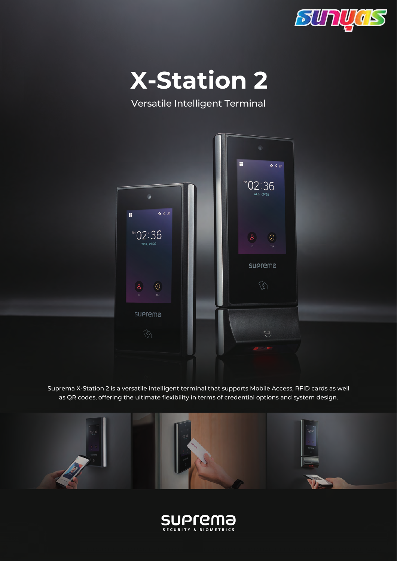



Versatile Intelligent Terminal



Suprema X-Station 2 is a versatile intelligent terminal that supports Mobile Access, RFID cards as well as QR codes, offering the ultimate flexibility in terms of credential options and system design.